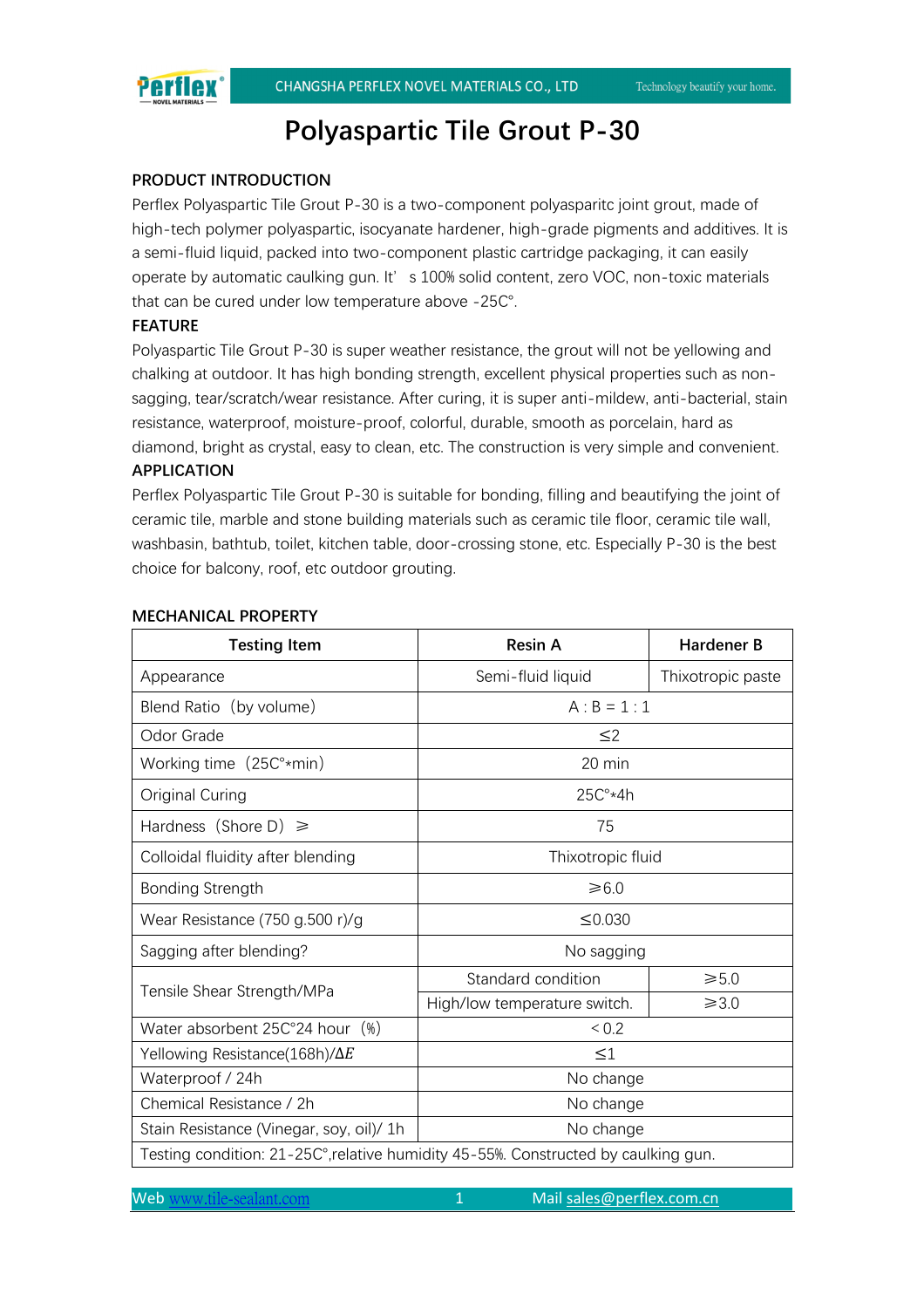# Perflex

# **Polyaspartic Tile Grout P-30**

# **PRODUCT INTRODUCTION**

Perflex Polyaspartic Tile Grout P-30 is a two-component polyasparitc joint grout, made of high-tech polymer polyaspartic, isocyanate hardener, high-grade pigments and additives. It is a semi-fluid liquid, packed into two-component plastic cartridge packaging, it can easily operate by automatic caulking gun. It' s 100% solid content, zero VOC, non-toxic materials that can be cured under low temperature above -25C°.

### **FEATURE**

Polyaspartic Tile Grout P-30 is super weather resistance, the grout will not be yellowing and chalking at outdoor. It has high bonding strength, excellent physical properties such as nonsagging, tear/scratch/wear resistance. After curing, it is super anti-mildew, anti-bacterial, stain resistance, waterproof, moisture-proof, colorful, durable, smooth as porcelain, hard as diamond, bright as crystal, easy to clean, etc. The construction is very simple and convenient. **APPLICATION**

# Perflex Polyaspartic Tile Grout P-30 is suitable for bonding, filling and beautifying the joint of

ceramic tile, marble and stone building materials such as ceramic tile floor, ceramic tile wall. washbasin, bathtub, toilet, kitchen table, door-crossing stone, etc. Especially P-30 is the best choice for balcony, roof, etc outdoor grouting.

| <b>Testing Item</b>                                                                | <b>Resin A</b>               | <b>Hardener B</b> |
|------------------------------------------------------------------------------------|------------------------------|-------------------|
| Appearance                                                                         | Semi-fluid liquid            | Thixotropic paste |
| Blend Ratio (by volume)                                                            | $A : B = 1 : 1$              |                   |
| Odor Grade                                                                         | $\leq$ 2                     |                   |
| Working time $(25C3 \cdot min)$                                                    | 20 min                       |                   |
| Original Curing                                                                    | $25C^{\circ}*4h$             |                   |
| Hardness (Shore D) $\geq$                                                          | 75                           |                   |
| Colloidal fluidity after blending                                                  | Thixotropic fluid            |                   |
| <b>Bonding Strength</b>                                                            | $≥6.0$                       |                   |
| Wear Resistance $(750$ g.500 r)/g                                                  | ≤0.030                       |                   |
| Sagging after blending?                                                            | No sagging                   |                   |
| Tensile Shear Strength/MPa                                                         | Standard condition           | $\geq 5.0$        |
|                                                                                    | High/low temperature switch. | $\geq 3.0$        |
| Water absorbent 25C°24 hour (%)                                                    | ${}_{0.2}$                   |                   |
| Yellowing Resistance(168h)/ $\Delta E$                                             | $\leq$ 1                     |                   |
| Waterproof / 24h                                                                   | No change                    |                   |
| Chemical Resistance / 2h                                                           | No change                    |                   |
| Stain Resistance (Vinegar, soy, oil)/ 1h                                           | No change                    |                   |
| Testing condition: 21-25C°, relative humidity 45-55%. Constructed by caulking gun. |                              |                   |

# **MECHANICAL PROPERTY**